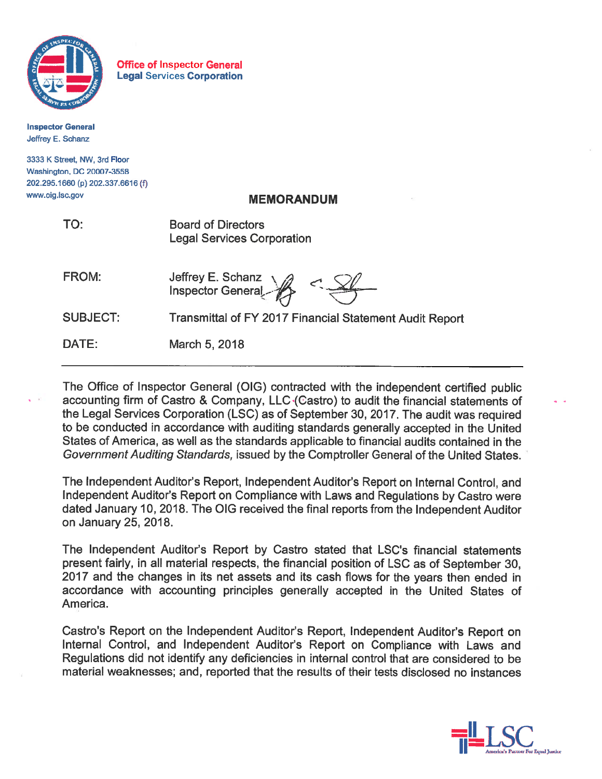

**Office of Inspector General Legal Services Corporation** 

**Inspector General** Jeffrey E. Schanz

3333 K Street, NW, 3rd Floor Washington, DC 20007-3558 202.295.1660 (p) 202.337.6616 (f) www.oig.lsc.gov

# **MEMORANDUM**

| ÷ | ۰.<br>$\sim$ |  |
|---|--------------|--|
|   |              |  |

**Board of Directors Legal Services Corporation** 

| FROM:           | Jeffrey E. Schanz<br>Inspector General<br>$\leq$               |
|-----------------|----------------------------------------------------------------|
| <b>SUBJECT:</b> | <b>Transmittal of FY 2017 Financial Statement Audit Report</b> |
| DATE:           | March 5, 2018                                                  |

The Office of Inspector General (OIG) contracted with the independent certified public accounting firm of Castro & Company, LLC (Castro) to audit the financial statements of the Legal Services Corporation (LSC) as of September 30, 2017. The audit was required to be conducted in accordance with auditing standards generally accepted in the United States of America, as well as the standards applicable to financial audits contained in the Government Auditing Standards, issued by the Comptroller General of the United States.

The Independent Auditor's Report, Independent Auditor's Report on Internal Control, and Independent Auditor's Report on Compliance with Laws and Regulations by Castro were dated January 10, 2018. The OIG received the final reports from the Independent Auditor on January 25, 2018.

The Independent Auditor's Report by Castro stated that LSC's financial statements present fairly, in all material respects, the financial position of LSC as of September 30. 2017 and the changes in its net assets and its cash flows for the years then ended in accordance with accounting principles generally accepted in the United States of America.

Castro's Report on the Independent Auditor's Report, Independent Auditor's Report on Internal Control, and Independent Auditor's Report on Compliance with Laws and Regulations did not identify any deficiencies in internal control that are considered to be material weaknesses; and, reported that the results of their tests disclosed no instances

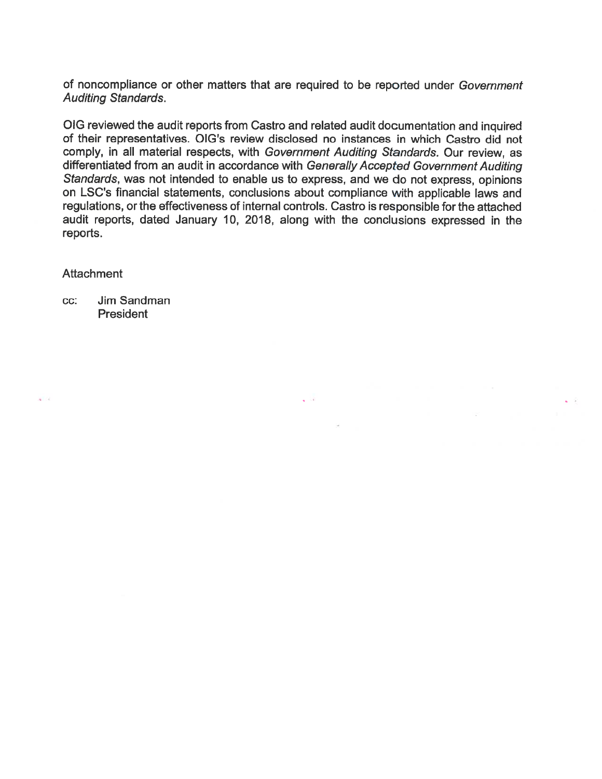of noncompliance or other matters that are required to be reported under Government **Auditing Standards.** 

OIG reviewed the audit reports from Castro and related audit documentation and inquired of their representatives. OIG's review disclosed no instances in which Castro did not comply, in all material respects, with Government Auditing Standards. Our review, as differentiated from an audit in accordance with Generally Accepted Government Auditing Standards, was not intended to enable us to express, and we do not express, opinions on LSC's financial statements, conclusions about compliance with applicable laws and regulations, or the effectiveness of internal controls. Castro is responsible for the attached audit reports, dated January 10, 2018, along with the conclusions expressed in the reports.

 $\sqrt{3}$  and  $\sqrt{3}$ 

#### **Attachment**

 $\sim$ 

Jim Sandman CC: President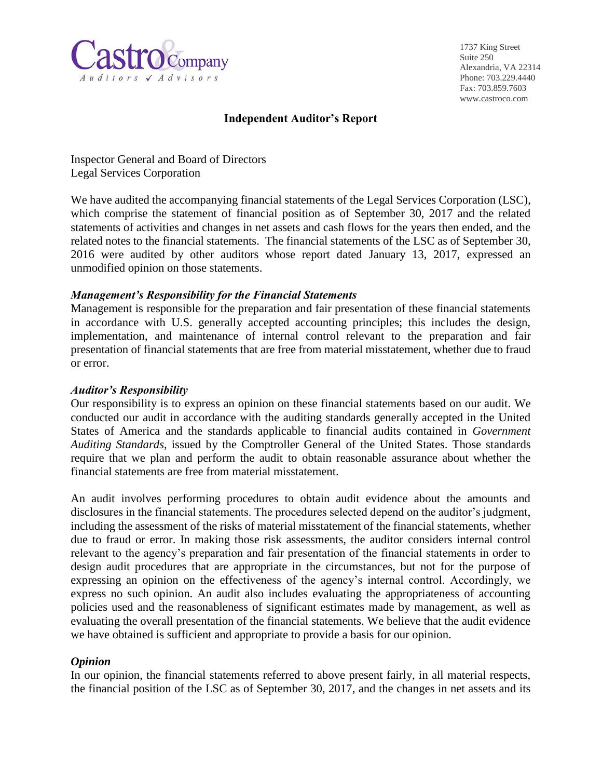

1737 King Street Suite 250 Alexandria, VA 22314 Phone: 703.229.4440 Fax: 703.859.7603 www.castroco.com

### **Independent Auditor's Report**

Inspector General and Board of Directors Legal Services Corporation

We have audited the accompanying financial statements of the Legal Services Corporation (LSC), which comprise the statement of financial position as of September 30, 2017 and the related statements of activities and changes in net assets and cash flows for the years then ended, and the related notes to the financial statements. The financial statements of the LSC as of September 30, 2016 were audited by other auditors whose report dated January 13, 2017, expressed an unmodified opinion on those statements.

#### *Management's Responsibility for the Financial Statements*

Management is responsible for the preparation and fair presentation of these financial statements in accordance with U.S. generally accepted accounting principles; this includes the design, implementation, and maintenance of internal control relevant to the preparation and fair presentation of financial statements that are free from material misstatement, whether due to fraud or error.

#### *Auditor's Responsibility*

Our responsibility is to express an opinion on these financial statements based on our audit. We conducted our audit in accordance with the auditing standards generally accepted in the United States of America and the standards applicable to financial audits contained in *Government Auditing Standards*, issued by the Comptroller General of the United States. Those standards require that we plan and perform the audit to obtain reasonable assurance about whether the financial statements are free from material misstatement.

An audit involves performing procedures to obtain audit evidence about the amounts and disclosures in the financial statements. The procedures selected depend on the auditor's judgment, including the assessment of the risks of material misstatement of the financial statements, whether due to fraud or error. In making those risk assessments, the auditor considers internal control relevant to the agency's preparation and fair presentation of the financial statements in order to design audit procedures that are appropriate in the circumstances, but not for the purpose of expressing an opinion on the effectiveness of the agency's internal control. Accordingly, we express no such opinion. An audit also includes evaluating the appropriateness of accounting policies used and the reasonableness of significant estimates made by management, as well as evaluating the overall presentation of the financial statements. We believe that the audit evidence we have obtained is sufficient and appropriate to provide a basis for our opinion.

#### *Opinion*

In our opinion, the financial statements referred to above present fairly, in all material respects, the financial position of the LSC as of September 30, 2017, and the changes in net assets and its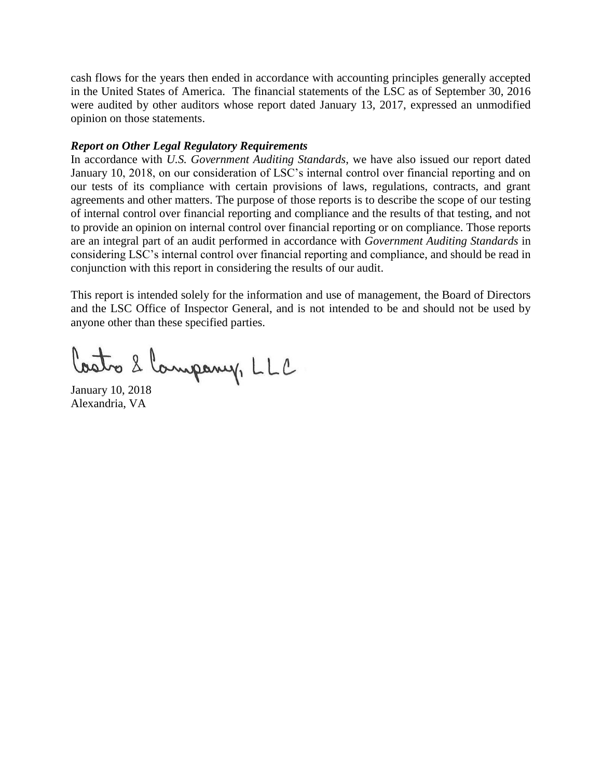cash flows for the years then ended in accordance with accounting principles generally accepted in the United States of America. The financial statements of the LSC as of September 30, 2016 were audited by other auditors whose report dated January 13, 2017, expressed an unmodified opinion on those statements.

#### *Report on Other Legal Regulatory Requirements*

In accordance with *U.S. Government Auditing Standards*, we have also issued our report dated January 10, 2018, on our consideration of LSC's internal control over financial reporting and on our tests of its compliance with certain provisions of laws, regulations, contracts, and grant agreements and other matters. The purpose of those reports is to describe the scope of our testing of internal control over financial reporting and compliance and the results of that testing, and not to provide an opinion on internal control over financial reporting or on compliance. Those reports are an integral part of an audit performed in accordance with *Government Auditing Standards* in considering LSC's internal control over financial reporting and compliance, and should be read in conjunction with this report in considering the results of our audit.

This report is intended solely for the information and use of management, the Board of Directors and the LSC Office of Inspector General, and is not intended to be and should not be used by anyone other than these specified parties.

Costro 2 Campany, LLC

January 10, 2018 Alexandria, VA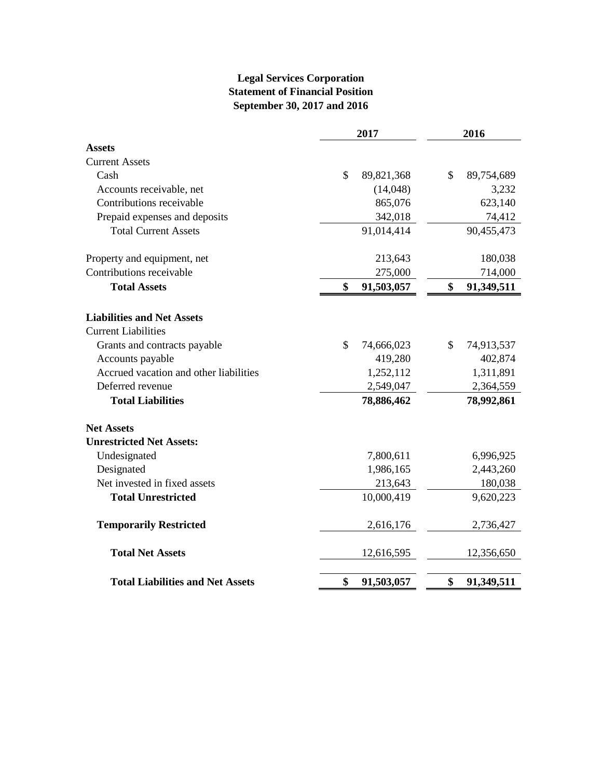# **Legal Services Corporation Statement of Financial Position September 30, 2017 and 2016**

|                                         | 2017                        | 2016             |  |  |
|-----------------------------------------|-----------------------------|------------------|--|--|
| <b>Assets</b>                           |                             |                  |  |  |
| <b>Current Assets</b>                   |                             |                  |  |  |
| Cash                                    | \$<br>89,821,368            | \$<br>89,754,689 |  |  |
| Accounts receivable, net                | (14, 048)                   | 3,232            |  |  |
| Contributions receivable                | 865,076                     | 623,140          |  |  |
| Prepaid expenses and deposits           | 342,018                     | 74,412           |  |  |
| <b>Total Current Assets</b>             | 91,014,414                  | 90,455,473       |  |  |
| Property and equipment, net             | 213,643                     | 180,038          |  |  |
| Contributions receivable                | 275,000                     | 714,000          |  |  |
| <b>Total Assets</b>                     | \$<br>91,503,057            | \$<br>91,349,511 |  |  |
| <b>Liabilities and Net Assets</b>       |                             |                  |  |  |
| <b>Current Liabilities</b>              |                             |                  |  |  |
| Grants and contracts payable            | $\mathcal{S}$<br>74,666,023 | \$<br>74,913,537 |  |  |
| Accounts payable                        | 419,280                     | 402,874          |  |  |
| Accrued vacation and other liabilities  | 1,252,112                   | 1,311,891        |  |  |
| Deferred revenue                        | 2,549,047                   | 2,364,559        |  |  |
| <b>Total Liabilities</b>                | 78,886,462                  | 78,992,861       |  |  |
| <b>Net Assets</b>                       |                             |                  |  |  |
| <b>Unrestricted Net Assets:</b>         |                             |                  |  |  |
| Undesignated                            | 7,800,611                   | 6,996,925        |  |  |
| Designated                              | 1,986,165                   | 2,443,260        |  |  |
| Net invested in fixed assets            | 213,643                     | 180,038          |  |  |
| <b>Total Unrestricted</b>               | 10,000,419                  | 9,620,223        |  |  |
| <b>Temporarily Restricted</b>           | 2,616,176                   | 2,736,427        |  |  |
| <b>Total Net Assets</b>                 | 12,616,595                  | 12,356,650       |  |  |
| <b>Total Liabilities and Net Assets</b> | \$<br>91,503,057            | \$<br>91,349,511 |  |  |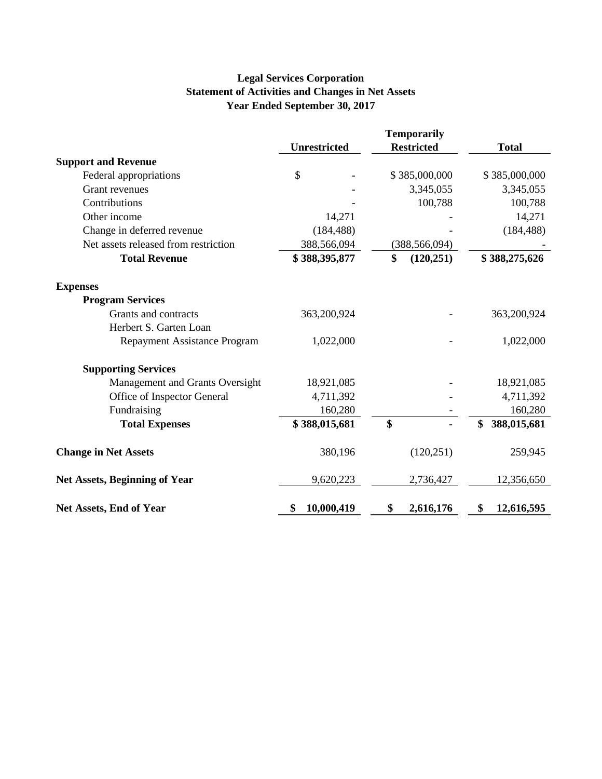# **Legal Services Corporation Statement of Activities and Changes in Net Assets Year Ended September 30, 2017**

|                                      |                     | <b>Temporarily</b> |                   |
|--------------------------------------|---------------------|--------------------|-------------------|
|                                      | <b>Unrestricted</b> | <b>Restricted</b>  | <b>Total</b>      |
| <b>Support and Revenue</b>           |                     |                    |                   |
| Federal appropriations               | \$                  | \$385,000,000      | \$385,000,000     |
| <b>Grant revenues</b>                |                     | 3,345,055          | 3,345,055         |
| Contributions                        |                     | 100,788            | 100,788           |
| Other income                         | 14,271              |                    | 14,271            |
| Change in deferred revenue           | (184, 488)          |                    | (184, 488)        |
| Net assets released from restriction | 388,566,094         | (388, 566, 094)    |                   |
| <b>Total Revenue</b>                 | \$388,395,877       | \$<br>(120, 251)   | \$388,275,626     |
| <b>Expenses</b>                      |                     |                    |                   |
| <b>Program Services</b>              |                     |                    |                   |
| Grants and contracts                 | 363,200,924         |                    | 363,200,924       |
| Herbert S. Garten Loan               |                     |                    |                   |
| <b>Repayment Assistance Program</b>  | 1,022,000           |                    | 1,022,000         |
| <b>Supporting Services</b>           |                     |                    |                   |
| Management and Grants Oversight      | 18,921,085          |                    | 18,921,085        |
| Office of Inspector General          | 4,711,392           |                    | 4,711,392         |
| Fundraising                          | 160,280             |                    | 160,280           |
| <b>Total Expenses</b>                | \$388,015,681       | \$                 | 388,015,681<br>\$ |
| <b>Change in Net Assets</b>          | 380,196             | (120, 251)         | 259,945           |
| <b>Net Assets, Beginning of Year</b> | 9,620,223           | 2,736,427          | 12,356,650        |
| Net Assets, End of Year              | 10,000,419<br>\$    | 2,616,176<br>\$    | 12,616,595<br>\$  |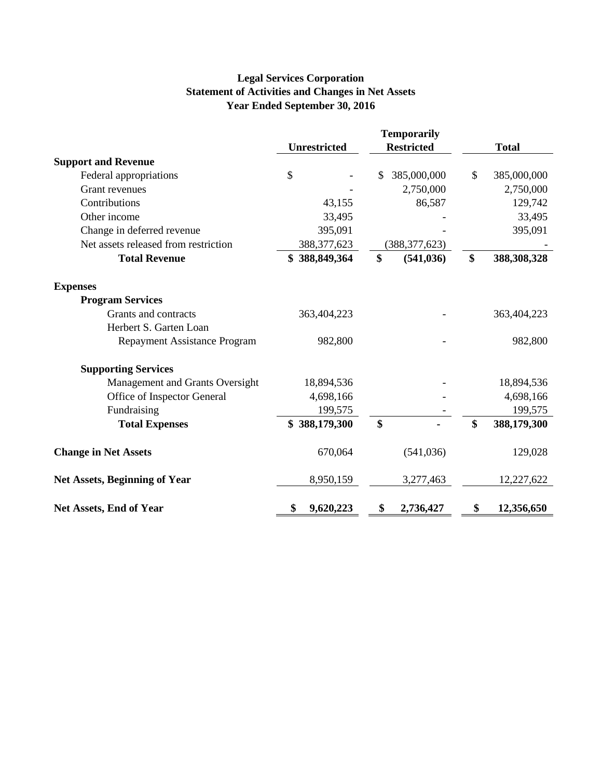# **Legal Services Corporation Statement of Activities and Changes in Net Assets Year Ended September 30, 2016**

|                                      | <b>Temporarily</b>  |                   |                   |
|--------------------------------------|---------------------|-------------------|-------------------|
|                                      | <b>Unrestricted</b> | <b>Restricted</b> | <b>Total</b>      |
| <b>Support and Revenue</b>           |                     |                   |                   |
| Federal appropriations               | \$                  | 385,000,000<br>\$ | \$<br>385,000,000 |
| <b>Grant revenues</b>                |                     | 2,750,000         | 2,750,000         |
| Contributions                        | 43,155              | 86,587            | 129,742           |
| Other income                         | 33,495              |                   | 33,495            |
| Change in deferred revenue           | 395,091             |                   | 395,091           |
| Net assets released from restriction | 388, 377, 623       | (388, 377, 623)   |                   |
| <b>Total Revenue</b>                 | \$388,849,364       | \$<br>(541, 036)  | \$<br>388,308,328 |
| <b>Expenses</b>                      |                     |                   |                   |
| <b>Program Services</b>              |                     |                   |                   |
| Grants and contracts                 | 363,404,223         |                   | 363,404,223       |
| Herbert S. Garten Loan               |                     |                   |                   |
| <b>Repayment Assistance Program</b>  | 982,800             |                   | 982,800           |
| <b>Supporting Services</b>           |                     |                   |                   |
| Management and Grants Oversight      | 18,894,536          |                   | 18,894,536        |
| Office of Inspector General          | 4,698,166           |                   | 4,698,166         |
| Fundraising                          | 199,575             |                   | 199,575           |
| <b>Total Expenses</b>                | \$388,179,300       | \$                | \$<br>388,179,300 |
| <b>Change in Net Assets</b>          | 670,064             | (541, 036)        | 129,028           |
| <b>Net Assets, Beginning of Year</b> | 8,950,159           | 3,277,463         | 12,227,622        |
| Net Assets, End of Year              | 9,620,223<br>\$     | 2,736,427<br>\$   | 12,356,650<br>S   |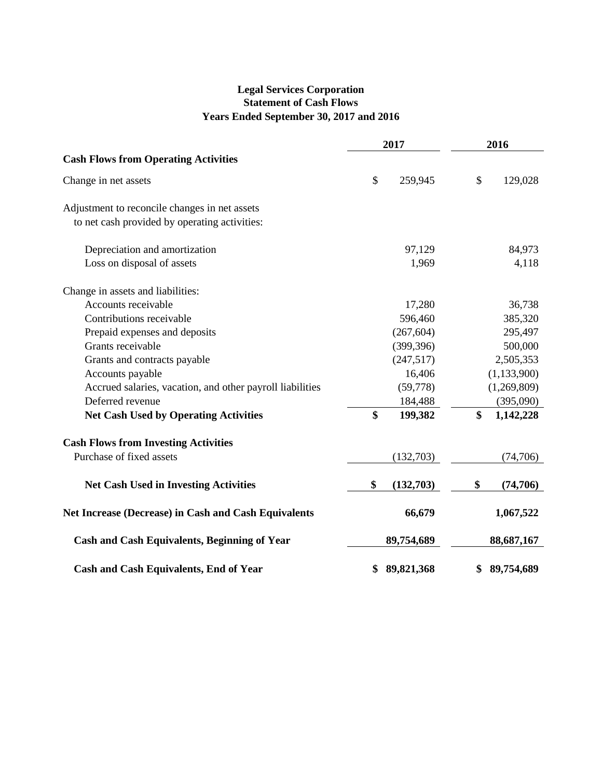# **Legal Services Corporation Statement of Cash Flows Years Ended September 30, 2017 and 2016**

|                                                             |    | 2017       | 2016 |               |  |
|-------------------------------------------------------------|----|------------|------|---------------|--|
| <b>Cash Flows from Operating Activities</b>                 |    |            |      |               |  |
| Change in net assets                                        | \$ | 259,945    | \$   | 129,028       |  |
| Adjustment to reconcile changes in net assets               |    |            |      |               |  |
| to net cash provided by operating activities:               |    |            |      |               |  |
| Depreciation and amortization                               |    | 97,129     |      | 84,973        |  |
| Loss on disposal of assets                                  |    | 1,969      |      | 4,118         |  |
| Change in assets and liabilities:                           |    |            |      |               |  |
| Accounts receivable                                         |    | 17,280     |      | 36,738        |  |
| Contributions receivable                                    |    | 596,460    |      | 385,320       |  |
| Prepaid expenses and deposits                               |    | (267, 604) |      | 295,497       |  |
| Grants receivable                                           |    | (399, 396) |      | 500,000       |  |
| Grants and contracts payable                                |    | (247,517)  |      | 2,505,353     |  |
| Accounts payable                                            |    | 16,406     |      | (1, 133, 900) |  |
| Accrued salaries, vacation, and other payroll liabilities   |    | (59,778)   |      | (1,269,809)   |  |
| Deferred revenue                                            |    | 184,488    |      | (395,090)     |  |
| <b>Net Cash Used by Operating Activities</b>                | \$ | 199,382    | \$   | 1,142,228     |  |
| <b>Cash Flows from Investing Activities</b>                 |    |            |      |               |  |
| Purchase of fixed assets                                    |    | (132,703)  |      | (74,706)      |  |
| <b>Net Cash Used in Investing Activities</b>                | \$ | (132,703)  | \$   | (74,706)      |  |
| <b>Net Increase (Decrease) in Cash and Cash Equivalents</b> |    | 66,679     |      | 1,067,522     |  |
| <b>Cash and Cash Equivalents, Beginning of Year</b>         |    | 89,754,689 |      | 88,687,167    |  |
| <b>Cash and Cash Equivalents, End of Year</b>               | \$ | 89,821,368 | \$   | 89,754,689    |  |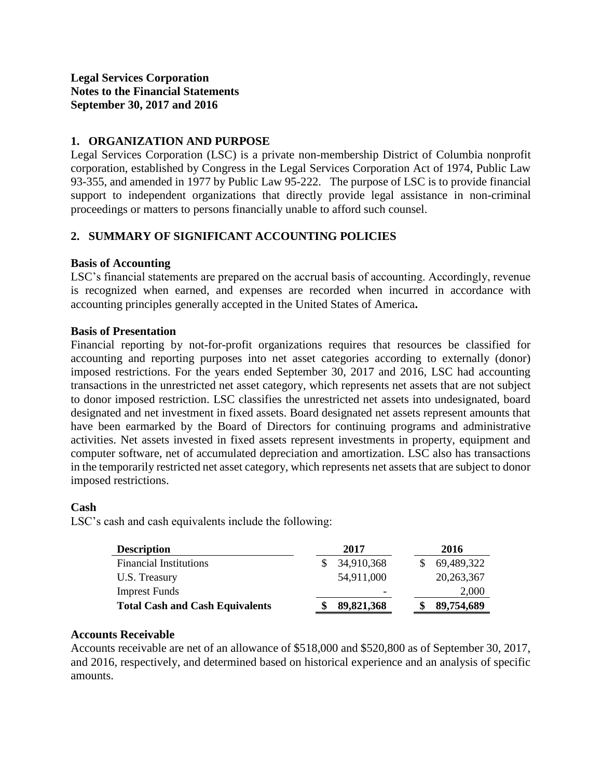# **1. ORGANIZATION AND PURPOSE**

Legal Services Corporation (LSC) is a private non-membership District of Columbia nonprofit corporation, established by Congress in the Legal Services Corporation Act of 1974, Public Law 93-355, and amended in 1977 by Public Law 95-222. The purpose of LSC is to provide financial support to independent organizations that directly provide legal assistance in non-criminal proceedings or matters to persons financially unable to afford such counsel.

# **2. SUMMARY OF SIGNIFICANT ACCOUNTING POLICIES**

### **Basis of Accounting**

LSC's financial statements are prepared on the accrual basis of accounting. Accordingly, revenue is recognized when earned, and expenses are recorded when incurred in accordance with accounting principles generally accepted in the United States of America**.**

### **Basis of Presentation**

Financial reporting by not-for-profit organizations requires that resources be classified for accounting and reporting purposes into net asset categories according to externally (donor) imposed restrictions. For the years ended September 30, 2017 and 2016, LSC had accounting transactions in the unrestricted net asset category, which represents net assets that are not subject to donor imposed restriction. LSC classifies the unrestricted net assets into undesignated, board designated and net investment in fixed assets. Board designated net assets represent amounts that have been earmarked by the Board of Directors for continuing programs and administrative activities. Net assets invested in fixed assets represent investments in property, equipment and computer software, net of accumulated depreciation and amortization. LSC also has transactions in the temporarily restricted net asset category, which represents net assets that are subject to donor imposed restrictions.

### **Cash**

LSC's cash and cash equivalents include the following:

| <b>Description</b>                     | 2017       |  | 2016         |
|----------------------------------------|------------|--|--------------|
| <b>Financial Institutions</b>          | 34,910,368 |  | 69,489,322   |
| U.S. Treasury                          | 54,911,000 |  | 20, 263, 367 |
| <b>Imprest Funds</b>                   | -          |  | 2,000        |
| <b>Total Cash and Cash Equivalents</b> | 89,821,368 |  | 89,754,689   |

# **Accounts Receivable**

Accounts receivable are net of an allowance of \$518,000 and \$520,800 as of September 30, 2017, and 2016, respectively, and determined based on historical experience and an analysis of specific amounts.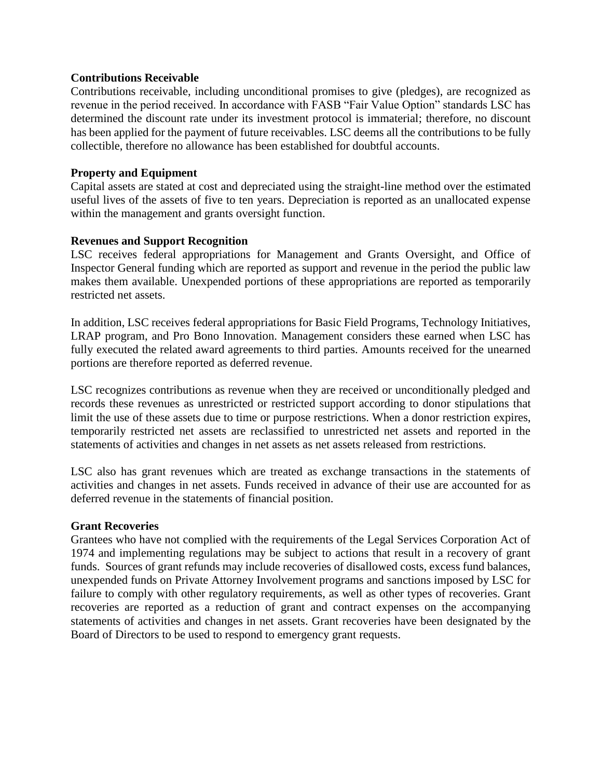### **Contributions Receivable**

Contributions receivable, including unconditional promises to give (pledges), are recognized as revenue in the period received. In accordance with FASB "Fair Value Option" standards LSC has determined the discount rate under its investment protocol is immaterial; therefore, no discount has been applied for the payment of future receivables. LSC deems all the contributions to be fully collectible, therefore no allowance has been established for doubtful accounts.

### **Property and Equipment**

Capital assets are stated at cost and depreciated using the straight-line method over the estimated useful lives of the assets of five to ten years. Depreciation is reported as an unallocated expense within the management and grants oversight function.

### **Revenues and Support Recognition**

LSC receives federal appropriations for Management and Grants Oversight, and Office of Inspector General funding which are reported as support and revenue in the period the public law makes them available. Unexpended portions of these appropriations are reported as temporarily restricted net assets.

In addition, LSC receives federal appropriations for Basic Field Programs, Technology Initiatives, LRAP program, and Pro Bono Innovation. Management considers these earned when LSC has fully executed the related award agreements to third parties. Amounts received for the unearned portions are therefore reported as deferred revenue.

LSC recognizes contributions as revenue when they are received or unconditionally pledged and records these revenues as unrestricted or restricted support according to donor stipulations that limit the use of these assets due to time or purpose restrictions. When a donor restriction expires, temporarily restricted net assets are reclassified to unrestricted net assets and reported in the statements of activities and changes in net assets as net assets released from restrictions.

LSC also has grant revenues which are treated as exchange transactions in the statements of activities and changes in net assets. Funds received in advance of their use are accounted for as deferred revenue in the statements of financial position.

#### **Grant Recoveries**

Grantees who have not complied with the requirements of the Legal Services Corporation Act of 1974 and implementing regulations may be subject to actions that result in a recovery of grant funds. Sources of grant refunds may include recoveries of disallowed costs, excess fund balances, unexpended funds on Private Attorney Involvement programs and sanctions imposed by LSC for failure to comply with other regulatory requirements, as well as other types of recoveries. Grant recoveries are reported as a reduction of grant and contract expenses on the accompanying statements of activities and changes in net assets. Grant recoveries have been designated by the Board of Directors to be used to respond to emergency grant requests.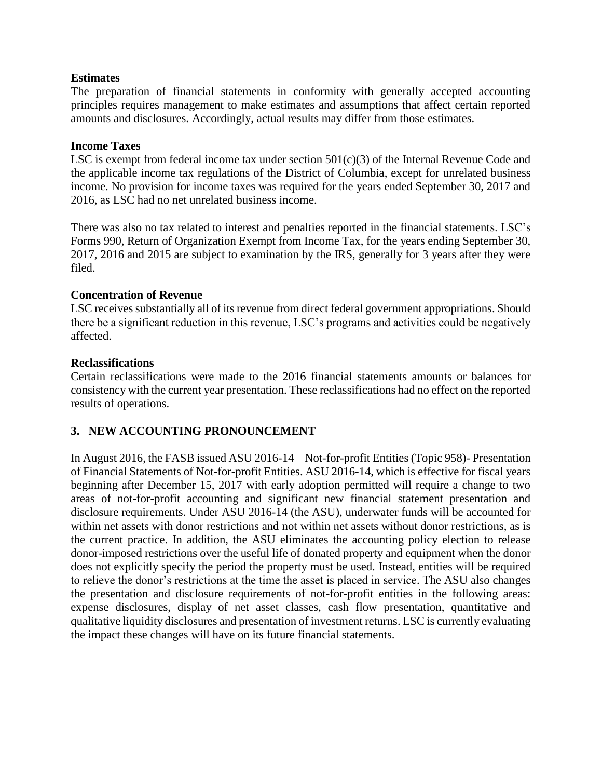### **Estimates**

The preparation of financial statements in conformity with generally accepted accounting principles requires management to make estimates and assumptions that affect certain reported amounts and disclosures. Accordingly, actual results may differ from those estimates.

### **Income Taxes**

LSC is exempt from federal income tax under section 501(c)(3) of the Internal Revenue Code and the applicable income tax regulations of the District of Columbia, except for unrelated business income. No provision for income taxes was required for the years ended September 30, 2017 and 2016, as LSC had no net unrelated business income.

There was also no tax related to interest and penalties reported in the financial statements. LSC's Forms 990, Return of Organization Exempt from Income Tax, for the years ending September 30, 2017, 2016 and 2015 are subject to examination by the IRS, generally for 3 years after they were filed.

#### **Concentration of Revenue**

LSC receives substantially all of its revenue from direct federal government appropriations. Should there be a significant reduction in this revenue, LSC's programs and activities could be negatively affected.

#### **Reclassifications**

Certain reclassifications were made to the 2016 financial statements amounts or balances for consistency with the current year presentation. These reclassifications had no effect on the reported results of operations.

### **3. NEW ACCOUNTING PRONOUNCEMENT**

In August 2016, the FASB issued ASU 2016-14 – Not-for-profit Entities (Topic 958)- Presentation of Financial Statements of Not-for-profit Entities. ASU 2016-14, which is effective for fiscal years beginning after December 15, 2017 with early adoption permitted will require a change to two areas of not-for-profit accounting and significant new financial statement presentation and disclosure requirements. Under ASU 2016-14 (the ASU), underwater funds will be accounted for within net assets with donor restrictions and not within net assets without donor restrictions, as is the current practice. In addition, the ASU eliminates the accounting policy election to release donor-imposed restrictions over the useful life of donated property and equipment when the donor does not explicitly specify the period the property must be used. Instead, entities will be required to relieve the donor's restrictions at the time the asset is placed in service. The ASU also changes the presentation and disclosure requirements of not-for-profit entities in the following areas: expense disclosures, display of net asset classes, cash flow presentation, quantitative and qualitative liquidity disclosures and presentation of investment returns. LSC is currently evaluating the impact these changes will have on its future financial statements.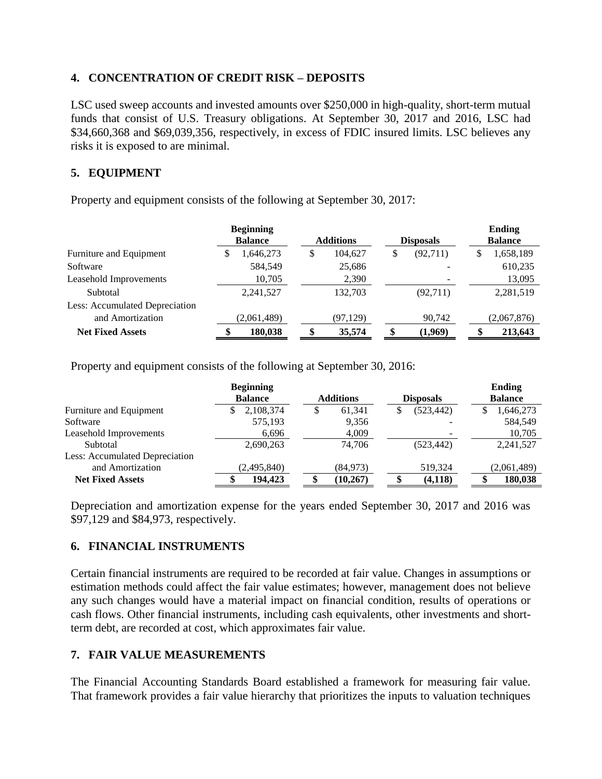# **4. CONCENTRATION OF CREDIT RISK – DEPOSITS**

LSC used sweep accounts and invested amounts over \$250,000 in high-quality, short-term mutual funds that consist of U.S. Treasury obligations. At September 30, 2017 and 2016, LSC had \$34,660,368 and \$69,039,356, respectively, in excess of FDIC insured limits. LSC believes any risks it is exposed to are minimal.

# **5. EQUIPMENT**

Property and equipment consists of the following at September 30, 2017:

|                                |   | <b>Beginning</b><br><b>Balance</b> | <b>Additions</b> | <b>Disposals</b> |   | <b>Ending</b><br><b>Balance</b> |
|--------------------------------|---|------------------------------------|------------------|------------------|---|---------------------------------|
| Furniture and Equipment        | S | 1,646,273                          | \$<br>104.627    | \$<br>(92,711)   | S | 1,658,189                       |
| Software                       |   | 584,549                            | 25,686           |                  |   | 610,235                         |
| Leasehold Improvements         |   | 10,705                             | 2,390            |                  |   | 13,095                          |
| Subtotal                       |   | 2.241,527                          | 132,703          | (92,711)         |   | 2,281,519                       |
| Less: Accumulated Depreciation |   |                                    |                  |                  |   |                                 |
| and Amortization               |   | (2,061,489)                        | (97, 129)        | 90,742           |   | (2,067,876)                     |
| <b>Net Fixed Assets</b>        |   | 180.038                            | \$<br>35,574     | (1,969)          |   | 213,643                         |

Property and equipment consists of the following at September 30, 2016:

|                                       | <b>Beginning</b> |                  |                  | Ending         |
|---------------------------------------|------------------|------------------|------------------|----------------|
|                                       | <b>Balance</b>   | <b>Additions</b> | <b>Disposals</b> | <b>Balance</b> |
| Furniture and Equipment               | 2,108,374        | 61,341<br>Ъ      | (523, 442)<br>S  | 1,646,273      |
| Software                              | 575,193          | 9,356            |                  | 584,549        |
| Leasehold Improvements                | 6,696            | 4,009            |                  | 10,705         |
| Subtotal                              | 2,690,263        | 74.706           | (523, 442)       | 2,241,527      |
| <b>Less: Accumulated Depreciation</b> |                  |                  |                  |                |
| and Amortization                      | (2,495,840)      | (84,973)         | 519,324          | (2,061,489)    |
| <b>Net Fixed Assets</b>               | 194,423          | (10, 267)        | (4,118)          | 180,038        |

Depreciation and amortization expense for the years ended September 30, 2017 and 2016 was \$97,129 and \$84,973, respectively.

# **6. FINANCIAL INSTRUMENTS**

Certain financial instruments are required to be recorded at fair value. Changes in assumptions or estimation methods could affect the fair value estimates; however, management does not believe any such changes would have a material impact on financial condition, results of operations or cash flows. Other financial instruments, including cash equivalents, other investments and shortterm debt, are recorded at cost, which approximates fair value.

# **7. FAIR VALUE MEASUREMENTS**

The Financial Accounting Standards Board established a framework for measuring fair value. That framework provides a fair value hierarchy that prioritizes the inputs to valuation techniques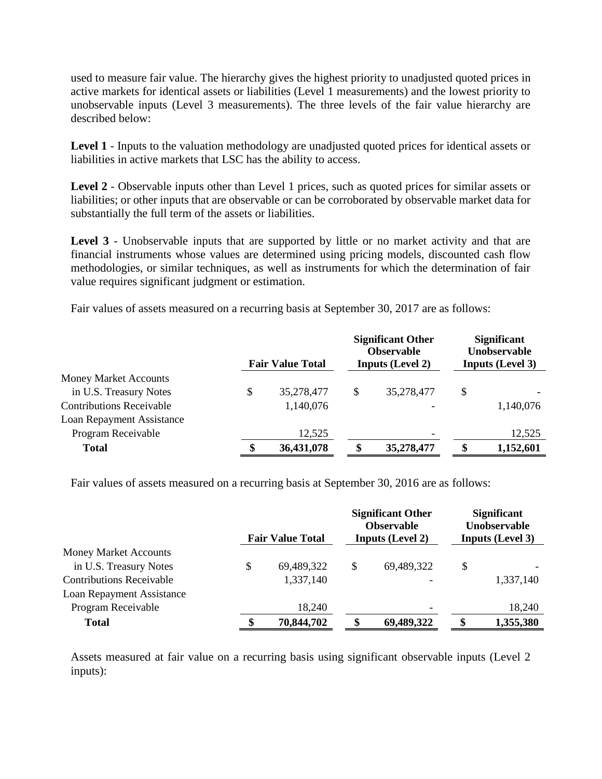used to measure fair value. The hierarchy gives the highest priority to unadjusted quoted prices in active markets for identical assets or liabilities (Level 1 measurements) and the lowest priority to unobservable inputs (Level 3 measurements). The three levels of the fair value hierarchy are described below:

**Level 1** - Inputs to the valuation methodology are unadjusted quoted prices for identical assets or liabilities in active markets that LSC has the ability to access.

**Level 2** - Observable inputs other than Level 1 prices, such as quoted prices for similar assets or liabilities; or other inputs that are observable or can be corroborated by observable market data for substantially the full term of the assets or liabilities.

Level 3 - Unobservable inputs that are supported by little or no market activity and that are financial instruments whose values are determined using pricing models, discounted cash flow methodologies, or similar techniques, as well as instruments for which the determination of fair value requires significant judgment or estimation.

Fair values of assets measured on a recurring basis at September 30, 2017 are as follows:

|                                 | <b>Fair Value Total</b> |   | <b>Significant Other</b><br><b>Observable</b><br><b>Inputs (Level 2)</b> | <b>Significant</b><br>Unobservable<br><b>Inputs (Level 3)</b> |
|---------------------------------|-------------------------|---|--------------------------------------------------------------------------|---------------------------------------------------------------|
| <b>Money Market Accounts</b>    |                         |   |                                                                          |                                                               |
| in U.S. Treasury Notes          | \$<br>35,278,477        | S | 35,278,477                                                               | \$                                                            |
| <b>Contributions Receivable</b> | 1,140,076               |   |                                                                          | 1,140,076                                                     |
| Loan Repayment Assistance       |                         |   |                                                                          |                                                               |
| Program Receivable              | 12,525                  |   |                                                                          | 12,525                                                        |
| <b>Total</b>                    | 36,431,078              |   | 35,278,477                                                               | \$<br>1,152,601                                               |

Fair values of assets measured on a recurring basis at September 30, 2016 are as follows:

|                                 | <b>Fair Value Total</b> | <b>Significant Other</b><br><b>Observable</b><br><b>Inputs (Level 2)</b> | <b>Significant</b><br>Unobservable<br><b>Inputs (Level 3)</b> |
|---------------------------------|-------------------------|--------------------------------------------------------------------------|---------------------------------------------------------------|
| <b>Money Market Accounts</b>    |                         |                                                                          |                                                               |
| in U.S. Treasury Notes          | \$<br>69,489,322        | \$<br>69,489,322                                                         | \$                                                            |
| <b>Contributions Receivable</b> | 1,337,140               |                                                                          | 1,337,140                                                     |
| Loan Repayment Assistance       |                         |                                                                          |                                                               |
| Program Receivable              | 18,240                  |                                                                          | 18,240                                                        |
| <b>Total</b>                    | 70,844,702              | \$<br>69,489,322                                                         | \$<br>1,355,380                                               |

Assets measured at fair value on a recurring basis using significant observable inputs (Level 2 inputs):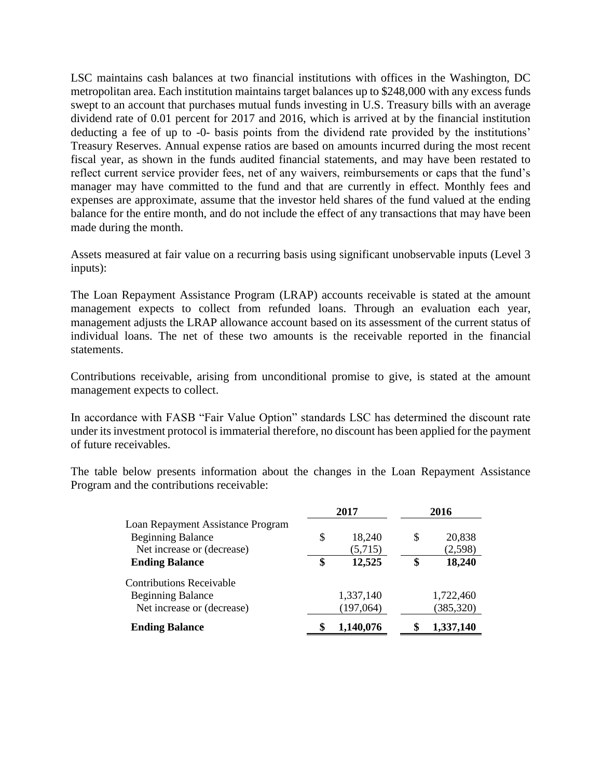LSC maintains cash balances at two financial institutions with offices in the Washington, DC metropolitan area. Each institution maintains target balances up to \$248,000 with any excess funds swept to an account that purchases mutual funds investing in U.S. Treasury bills with an average dividend rate of 0.01 percent for 2017 and 2016, which is arrived at by the financial institution deducting a fee of up to -0- basis points from the dividend rate provided by the institutions' Treasury Reserves. Annual expense ratios are based on amounts incurred during the most recent fiscal year, as shown in the funds audited financial statements, and may have been restated to reflect current service provider fees, net of any waivers, reimbursements or caps that the fund's manager may have committed to the fund and that are currently in effect. Monthly fees and expenses are approximate, assume that the investor held shares of the fund valued at the ending balance for the entire month, and do not include the effect of any transactions that may have been made during the month.

Assets measured at fair value on a recurring basis using significant unobservable inputs (Level 3 inputs):

The Loan Repayment Assistance Program (LRAP) accounts receivable is stated at the amount management expects to collect from refunded loans. Through an evaluation each year, management adjusts the LRAP allowance account based on its assessment of the current status of individual loans. The net of these two amounts is the receivable reported in the financial statements.

Contributions receivable, arising from unconditional promise to give, is stated at the amount management expects to collect.

In accordance with FASB "Fair Value Option" standards LSC has determined the discount rate under its investment protocol is immaterial therefore, no discount has been applied for the payment of future receivables.

The table below presents information about the changes in the Loan Repayment Assistance Program and the contributions receivable:

|                                   | 2017 |           | 2016 |            |
|-----------------------------------|------|-----------|------|------------|
| Loan Repayment Assistance Program |      |           |      |            |
| <b>Beginning Balance</b>          | \$   | 18,240    | S    | 20,838     |
| Net increase or (decrease)        |      | (5,715)   |      | (2,598)    |
| <b>Ending Balance</b>             | \$   | 12,525    | \$   | 18,240     |
| <b>Contributions Receivable</b>   |      |           |      |            |
| <b>Beginning Balance</b>          |      | 1,337,140 |      | 1,722,460  |
| Net increase or (decrease)        |      | (197,064) |      | (385, 320) |
| <b>Ending Balance</b>             |      | 1,140,076 |      | 1,337,140  |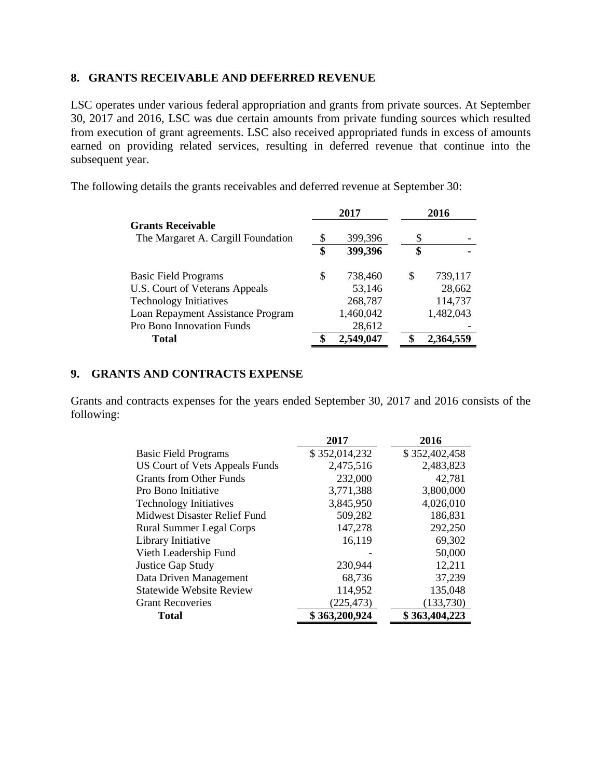### **8. GRANTS RECEIVABLE AND DEFERRED REVENUE**

LSC operates under various federal appropriation and grants from private sources. At September 30, 2017 and 2016, LSC was due certain amounts from private funding sources which resulted from execution of grant agreements. LSC also received appropriated funds in excess of amounts earned on providing related services, resulting in deferred revenue that continue into the subsequent year.

The following details the grants receivables and deferred revenue at September 30:

|                                    |    | 2017      |    | 2016      |
|------------------------------------|----|-----------|----|-----------|
| <b>Grants Receivable</b>           |    |           |    |           |
| The Margaret A. Cargill Foundation | \$ | 399,396   | S  |           |
|                                    | \$ | 399,396   | \$ |           |
| <b>Basic Field Programs</b>        | S  | 738,460   | S  | 739,117   |
| U.S. Court of Veterans Appeals     |    | 53,146    |    | 28,662    |
| <b>Technology Initiatives</b>      |    | 268,787   |    | 114,737   |
| Loan Repayment Assistance Program  |    | 1,460,042 |    | 1,482,043 |
| Pro Bono Innovation Funds          |    | 28,612    |    |           |
| Total                              |    | 2,549,047 |    | 2,364,559 |

# **9. GRANTS AND CONTRACTS EXPENSE**

Grants and contracts expenses for the years ended September 30, 2017 and 2016 consists of the following:

|                                       | 2017          | 2016          |
|---------------------------------------|---------------|---------------|
| <b>Basic Field Programs</b>           | \$352,014,232 | \$352,402,458 |
| <b>US Court of Vets Appeals Funds</b> | 2,475,516     | 2,483,823     |
| <b>Grants from Other Funds</b>        | 232,000       | 42,781        |
| Pro Bono Initiative                   | 3,771,388     | 3,800,000     |
| <b>Technology Initiatives</b>         | 3,845,950     | 4,026,010     |
| <b>Midwest Disaster Relief Fund</b>   | 509,282       | 186,831       |
| <b>Rural Summer Legal Corps</b>       | 147,278       | 292,250       |
| Library Initiative                    | 16,119        | 69,302        |
| Vieth Leadership Fund                 |               | 50,000        |
| <b>Justice Gap Study</b>              | 230,944       | 12,211        |
| Data Driven Management                | 68,736        | 37,239        |
| <b>Statewide Website Review</b>       | 114,952       | 135,048       |
| <b>Grant Recoveries</b>               | (225, 473)    | (133,730)     |
| <b>Total</b>                          | \$363,200,924 | \$363,404,223 |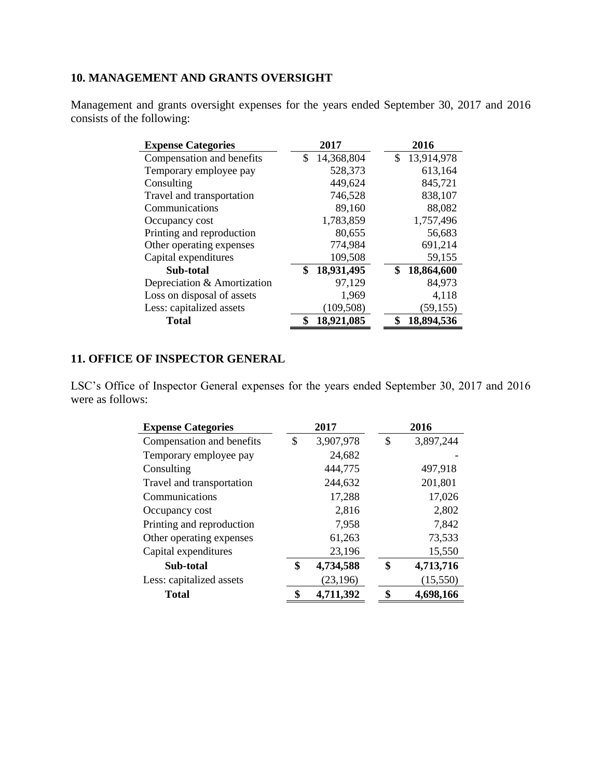# **10. MANAGEMENT AND GRANTS OVERSIGHT**

Management and grants oversight expenses for the years ended September 30, 2017 and 2016 consists of the following:

| 2017             | 2016             |
|------------------|------------------|
| 14,368,804<br>\$ | 13,914,978<br>\$ |
| 528,373          | 613,164          |
| 449,624          | 845,721          |
| 746,528          | 838,107          |
| 89,160           | 88,082           |
| 1,783,859        | 1,757,496        |
| 80,655           | 56,683           |
| 774,984          | 691,214          |
| 109,508          | 59,155           |
| \$<br>18,931,495 | \$<br>18,864,600 |
| 97,129           | 84,973           |
| 1,969            | 4,118            |
| (109, 508)       | (59, 155)        |
| 18,921,085<br>\$ | \$<br>18,894,536 |
|                  |                  |

# **11. OFFICE OF INSPECTOR GENERAL**

LSC's Office of Inspector General expenses for the years ended September 30, 2017 and 2016 were as follows:

| <b>Expense Categories</b> | 2017 |           | 2016 |           |  |
|---------------------------|------|-----------|------|-----------|--|
| Compensation and benefits | \$   | 3,907,978 | \$   | 3,897,244 |  |
| Temporary employee pay    |      | 24,682    |      |           |  |
| Consulting                |      | 444,775   |      | 497,918   |  |
| Travel and transportation |      | 244,632   |      | 201,801   |  |
| Communications            |      | 17,288    |      | 17,026    |  |
| Occupancy cost            |      | 2,816     |      | 2,802     |  |
| Printing and reproduction |      | 7,958     |      | 7,842     |  |
| Other operating expenses  |      | 61,263    |      | 73,533    |  |
| Capital expenditures      |      | 23,196    |      | 15,550    |  |
| Sub-total                 | \$   | 4,734,588 | \$   | 4,713,716 |  |
| Less: capitalized assets  |      | (23, 196) |      | (15,550)  |  |
| <b>Total</b>              | \$   | 4,711,392 | \$   | 4,698,166 |  |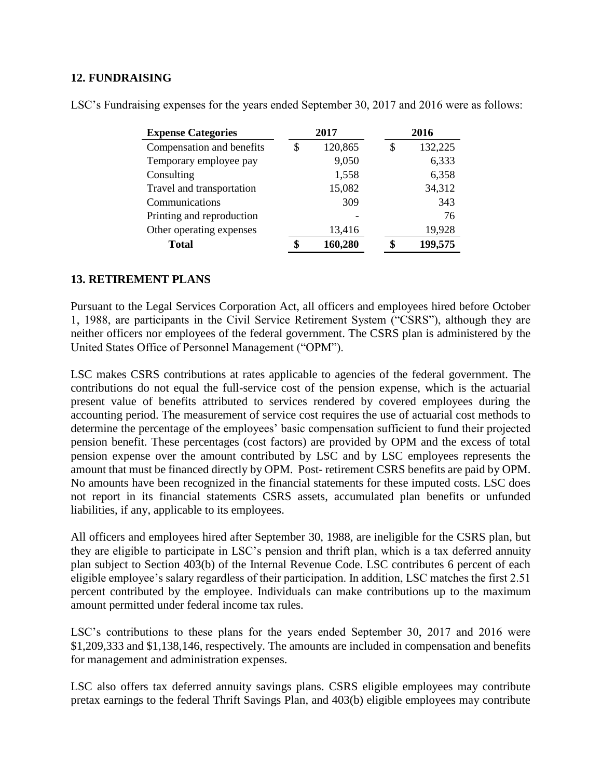### **12. FUNDRAISING**

| <b>Expense Categories</b> | 2017 |         | 2016 |         |  |
|---------------------------|------|---------|------|---------|--|
| Compensation and benefits | \$   | 120,865 | \$   | 132,225 |  |
| Temporary employee pay    |      | 9,050   |      | 6,333   |  |
| Consulting                |      | 1,558   |      | 6,358   |  |
| Travel and transportation |      | 15,082  |      | 34,312  |  |
| Communications            |      | 309     |      | 343     |  |
| Printing and reproduction |      |         |      | 76      |  |
| Other operating expenses  |      | 13,416  |      | 19,928  |  |
| <b>Total</b>              |      | 160,280 |      | 199,575 |  |

LSC's Fundraising expenses for the years ended September 30, 2017 and 2016 were as follows:

### **13. RETIREMENT PLANS**

Pursuant to the Legal Services Corporation Act, all officers and employees hired before October 1, 1988, are participants in the Civil Service Retirement System ("CSRS"), although they are neither officers nor employees of the federal government. The CSRS plan is administered by the United States Office of Personnel Management ("OPM").

LSC makes CSRS contributions at rates applicable to agencies of the federal government. The contributions do not equal the full-service cost of the pension expense, which is the actuarial present value of benefits attributed to services rendered by covered employees during the accounting period. The measurement of service cost requires the use of actuarial cost methods to determine the percentage of the employees' basic compensation sufficient to fund their projected pension benefit. These percentages (cost factors) are provided by OPM and the excess of total pension expense over the amount contributed by LSC and by LSC employees represents the amount that must be financed directly by OPM. Post- retirement CSRS benefits are paid by OPM. No amounts have been recognized in the financial statements for these imputed costs. LSC does not report in its financial statements CSRS assets, accumulated plan benefits or unfunded liabilities, if any, applicable to its employees.

All officers and employees hired after September 30, 1988, are ineligible for the CSRS plan, but they are eligible to participate in LSC's pension and thrift plan, which is a tax deferred annuity plan subject to Section 403(b) of the Internal Revenue Code. LSC contributes 6 percent of each eligible employee's salary regardless of their participation. In addition, LSC matches the first 2.51 percent contributed by the employee. Individuals can make contributions up to the maximum amount permitted under federal income tax rules.

LSC's contributions to these plans for the years ended September 30, 2017 and 2016 were \$1,209,333 and \$1,138,146, respectively. The amounts are included in compensation and benefits for management and administration expenses.

LSC also offers tax deferred annuity savings plans. CSRS eligible employees may contribute pretax earnings to the federal Thrift Savings Plan, and 403(b) eligible employees may contribute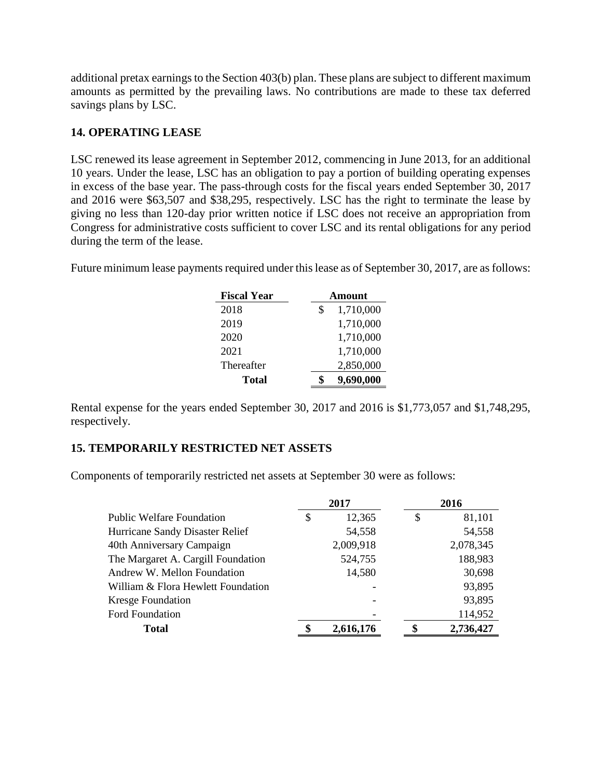additional pretax earnings to the Section 403(b) plan. These plans are subject to different maximum amounts as permitted by the prevailing laws. No contributions are made to these tax deferred savings plans by LSC.

### **14. OPERATING LEASE**

LSC renewed its lease agreement in September 2012, commencing in June 2013, for an additional 10 years. Under the lease, LSC has an obligation to pay a portion of building operating expenses in excess of the base year. The pass-through costs for the fiscal years ended September 30, 2017 and 2016 were \$63,507 and \$38,295, respectively. LSC has the right to terminate the lease by giving no less than 120-day prior written notice if LSC does not receive an appropriation from Congress for administrative costs sufficient to cover LSC and its rental obligations for any period during the term of the lease.

Future minimum lease payments required under this lease as of September 30, 2017, are as follows:

| <b>Fiscal Year</b> | <b>Amount</b>   |  |  |  |
|--------------------|-----------------|--|--|--|
| 2018               | 1,710,000<br>\$ |  |  |  |
| 2019               | 1,710,000       |  |  |  |
| 2020               | 1,710,000       |  |  |  |
| 2021               | 1,710,000       |  |  |  |
| Thereafter         | 2,850,000       |  |  |  |
| Total              | 9,690,000       |  |  |  |

Rental expense for the years ended September 30, 2017 and 2016 is \$1,773,057 and \$1,748,295, respectively.

# **15. TEMPORARILY RESTRICTED NET ASSETS**

Components of temporarily restricted net assets at September 30 were as follows:

|                                    |    | 2017      | 2016         |  |  |
|------------------------------------|----|-----------|--------------|--|--|
| <b>Public Welfare Foundation</b>   | \$ | 12,365    | \$<br>81,101 |  |  |
| Hurricane Sandy Disaster Relief    |    | 54,558    | 54,558       |  |  |
| 40th Anniversary Campaign          |    | 2,009,918 | 2,078,345    |  |  |
| The Margaret A. Cargill Foundation |    | 524,755   | 188,983      |  |  |
| Andrew W. Mellon Foundation        |    | 14,580    | 30,698       |  |  |
| William & Flora Hewlett Foundation |    |           | 93,895       |  |  |
| <b>Kresge Foundation</b>           |    |           | 93,895       |  |  |
| <b>Ford Foundation</b>             |    |           | 114,952      |  |  |
| <b>Total</b>                       | \$ | 2,616,176 | 2,736,427    |  |  |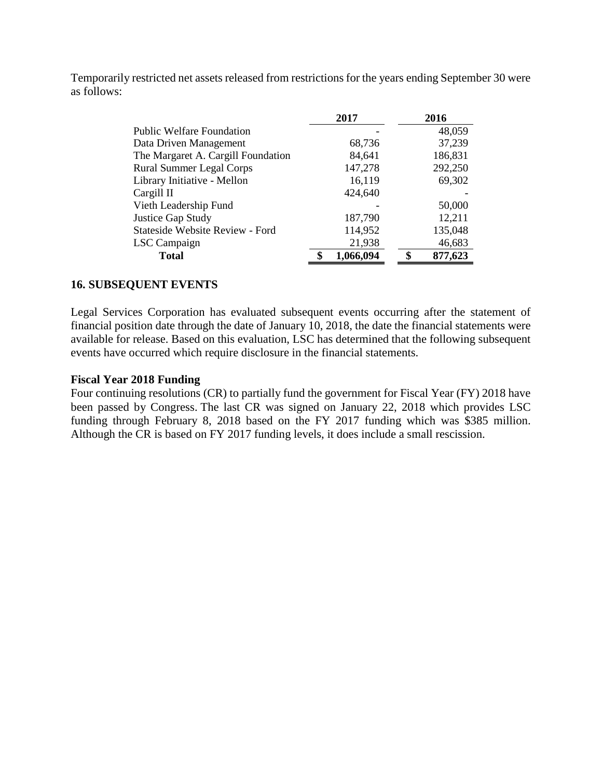Temporarily restricted net assets released from restrictions for the years ending September 30 were as follows:

|                                        | 2017      |   | 2016    |
|----------------------------------------|-----------|---|---------|
| <b>Public Welfare Foundation</b>       |           |   | 48,059  |
| Data Driven Management                 | 68,736    |   | 37,239  |
| The Margaret A. Cargill Foundation     | 84,641    |   | 186,831 |
| <b>Rural Summer Legal Corps</b>        | 147,278   |   | 292,250 |
| Library Initiative - Mellon            | 16,119    |   | 69,302  |
| Cargill II                             | 424,640   |   |         |
| Vieth Leadership Fund                  |           |   | 50,000  |
| Justice Gap Study                      | 187,790   |   | 12,211  |
| <b>Stateside Website Review - Ford</b> | 114,952   |   | 135,048 |
| LSC Campaign                           | 21,938    |   | 46,683  |
| <b>Total</b>                           | 1,066,094 | ¢ | 877,623 |
|                                        |           |   |         |

### **16. SUBSEQUENT EVENTS**

Legal Services Corporation has evaluated subsequent events occurring after the statement of financial position date through the date of January 10, 2018, the date the financial statements were available for release. Based on this evaluation, LSC has determined that the following subsequent events have occurred which require disclosure in the financial statements.

### **Fiscal Year 2018 Funding**

Four continuing resolutions (CR) to partially fund the government for Fiscal Year (FY) 2018 have been passed by Congress. The last CR was signed on January 22, 2018 which provides LSC funding through February 8, 2018 based on the FY 2017 funding which was \$385 million. Although the CR is based on FY 2017 funding levels, it does include a small rescission.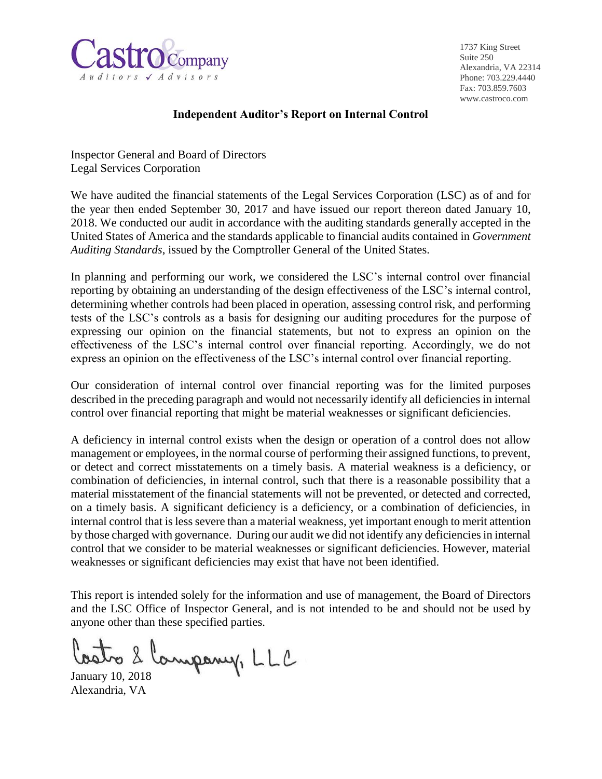

1737 King Street Suite 250 Alexandria, VA 22314 Phone: 703.229.4440 Fax: 703.859.7603 www.castroco.com

### **Independent Auditor's Report on Internal Control**

Inspector General and Board of Directors Legal Services Corporation

We have audited the financial statements of the Legal Services Corporation (LSC) as of and for the year then ended September 30, 2017 and have issued our report thereon dated January 10, 2018. We conducted our audit in accordance with the auditing standards generally accepted in the United States of America and the standards applicable to financial audits contained in *Government Auditing Standards*, issued by the Comptroller General of the United States.

In planning and performing our work, we considered the LSC's internal control over financial reporting by obtaining an understanding of the design effectiveness of the LSC's internal control, determining whether controls had been placed in operation, assessing control risk, and performing tests of the LSC's controls as a basis for designing our auditing procedures for the purpose of expressing our opinion on the financial statements, but not to express an opinion on the effectiveness of the LSC's internal control over financial reporting. Accordingly, we do not express an opinion on the effectiveness of the LSC's internal control over financial reporting.

Our consideration of internal control over financial reporting was for the limited purposes described in the preceding paragraph and would not necessarily identify all deficiencies in internal control over financial reporting that might be material weaknesses or significant deficiencies.

A deficiency in internal control exists when the design or operation of a control does not allow management or employees, in the normal course of performing their assigned functions, to prevent, or detect and correct misstatements on a timely basis. A material weakness is a deficiency, or combination of deficiencies, in internal control, such that there is a reasonable possibility that a material misstatement of the financial statements will not be prevented, or detected and corrected, on a timely basis. A significant deficiency is a deficiency, or a combination of deficiencies, in internal control that is less severe than a material weakness, yet important enough to merit attention by those charged with governance. During our audit we did not identify any deficiencies in internal control that we consider to be material weaknesses or significant deficiencies. However, material weaknesses or significant deficiencies may exist that have not been identified.

This report is intended solely for the information and use of management, the Board of Directors and the LSC Office of Inspector General, and is not intended to be and should not be used by anyone other than these specified parties.

Costro 2 Company, LLC

Alexandria, VA